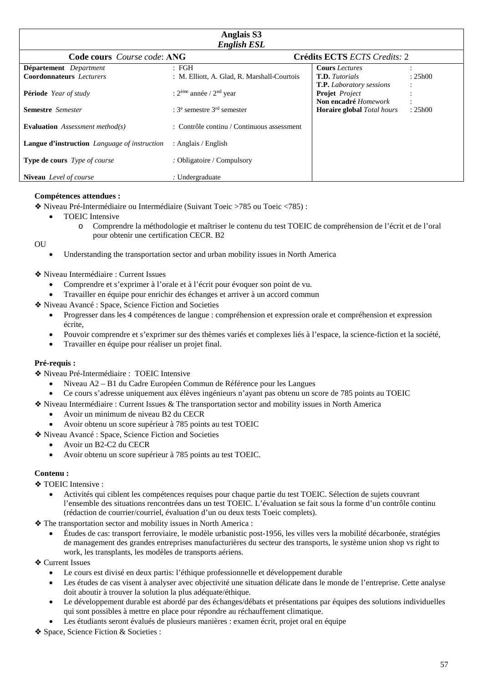| <b>Anglais S3</b><br><b>English ESL</b>      |                                                       |                                   |         |
|----------------------------------------------|-------------------------------------------------------|-----------------------------------|---------|
| <b>Code cours</b> <i>Course code:</i> ANG    |                                                       | Crédits ECTS ECTS Credits: 2      |         |
| Département Department                       | : FGH                                                 | <b>Cours</b> Lectures             |         |
| <b>Coordonnateurs</b> Lecturers              | : M. Elliott, A. Glad, R. Marshall-Courtois           | <b>T.D.</b> Tutorials             | : 25h00 |
|                                              |                                                       | <b>T.P.</b> Laboratory sessions   |         |
| <b>Période</b> Year of study                 | : $2eme$ année / $2nd$ year                           | <b>Projet</b> Project             |         |
|                                              |                                                       | Non encadré Homework              |         |
| <b>Semestre</b> Semester                     | : $3^e$ semestre $3^{rd}$ semester                    | <b>Horaire global</b> Total hours | : 25h00 |
| Evaluation Assessment method(s)              | $\therefore$ Contrôle continu / Continuous assessment |                                   |         |
| Langue d'instruction Language of instruction | : Anglais / English                                   |                                   |         |
| <b>Type de cours</b> <i>Type of course</i>   | : Obligatoire / Compulsory                            |                                   |         |
| <b>Niveau</b> Level of course                | : Undergraduate                                       |                                   |         |

#### **Compétences attendues :**

❖ Niveau Pré-Intermédiaire ou Intermédiaire (Suivant Toeic >785 ou Toeic <785) :

- TOEIC Intensive
	- o Comprendre la méthodologie et maîtriser le contenu du test TOEIC de compréhension de l'écrit et de l'oral pour obtenir une certification CECR. B2

**OU** 

• Understanding the transportation sector and urban mobility issues in North America

#### ❖ Niveau Intermédiaire : Current Issues

- Comprendre et s'exprimer à l'orale et à l'écrit pour évoquer son point de vu.
- Travailler en équipe pour enrichir des échanges et arriver à un accord commun

❖ Niveau Avancé : Space, Science Fiction and Societies

- Progresser dans les 4 compétences de langue : compréhension et expression orale et compréhension et expression écrite,
- Pouvoir comprendre et s'exprimer sur des thèmes variés et complexes liés à l'espace, la science-fiction et la société,
- Travailler en équipe pour réaliser un projet final.

## **Pré-requis :**

❖ Niveau Pré-Intermédiaire : TOEIC Intensive

- Niveau A2 B1 du Cadre Européen Commun de Référence pour les Langues
- Ce cours s'adresse uniquement aux élèves ingénieurs n'ayant pas obtenu un score de 785 points au TOEIC
- ❖ Niveau Intermédiaire : Current Issues & The transportation sector and mobility issues in North America
	- Avoir un minimum de niveau B2 du CECR
	- Avoir obtenu un score supérieur à 785 points au test TOEIC
- ❖ Niveau Avancé : Space, Science Fiction and Societies
	- Avoir un B2-C2 du CECR
	- Avoir obtenu un score supérieur à 785 points au test TOEIC.

## **Contenu :**

❖ TOEIC Intensive :

- Activités qui ciblent les compétences requises pour chaque partie du test TOEIC. Sélection de sujets couvrant l'ensemble des situations rencontrées dans un test TOEIC. L'évaluation se fait sous la forme d'un contrôle continu (rédaction de courrier/courriel, évaluation d'un ou deux tests Toeic complets).
- ❖ The transportation sector and mobility issues in North America :
	- Études de cas: transport ferroviaire, le modèle urbanistic post-1956, les villes vers la mobilité décarbonée, stratégies de management des grandes entreprises manufacturières du secteur des transports, le système union shop vs right to work, les transplants, les modèles de transports aériens.

❖ Current Issues

- Le cours est divisé en deux partis: l'éthique professionnelle et développement durable
- Les études de cas visent à analyser avec objectivité une situation délicate dans le monde de l'entreprise. Cette analyse doit aboutir à trouver la solution la plus adéquate/éthique.
- Le développement durable est abordé par des échanges/débats et présentations par équipes des solutions individuelles qui sont possibles à mettre en place pour répondre au réchauffement climatique.
- Les étudiants seront évalués de plusieurs manières : examen écrit, projet oral en équipe
- ❖ Space, Science Fiction & Societies :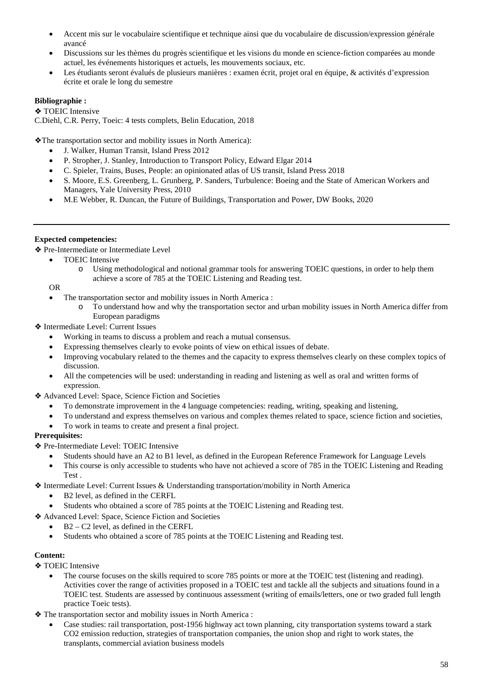- Accent mis sur le vocabulaire scientifique et technique ainsi que du vocabulaire de discussion/expression générale avancé
- Discussions sur les thèmes du progrès scientifique et les visions du monde en science-fiction comparées au monde actuel, les événements historiques et actuels, les mouvements sociaux, etc.
- Les étudiants seront évalués de plusieurs manières : examen écrit, projet oral en équipe, & activités d'expression écrite et orale le long du semestre

## **Bibliographie :**

❖ TOEIC Intensive C.Diehl, C.R. Perry, Toeic: 4 tests complets, Belin Education, 2018

❖The transportation sector and mobility issues in North America):

- J. Walker, Human Transit, Island Press 2012
- P. Stropher, J. Stanley, Introduction to Transport Policy, Edward Elgar 2014
- C. Spieler, Trains, Buses, People: an opinionated atlas of US transit, Island Press 2018
- S. Moore, E.S. Greenberg, L. Grunberg, P. Sanders, Turbulence: Boeing and the State of American Workers and Managers, Yale University Press, 2010
- M.E Webber, R. Duncan, the Future of Buildings, Transportation and Power, DW Books, 2020

## **Expected competencies:**

❖ Pre-Intermediate or Intermediate Level

- TOEIC Intensive
	- o Using methodological and notional grammar tools for answering TOEIC questions, in order to help them achieve a score of 785 at the TOEIC Listening and Reading test.

OR

- The transportation sector and mobility issues in North America :
	- o To understand how and why the transportation sector and urban mobility issues in North America differ from European paradigms

❖ Intermediate Level: Current Issues

- Working in teams to discuss a problem and reach a mutual consensus.
- Expressing themselves clearly to evoke points of view on ethical issues of debate.
- Improving vocabulary related to the themes and the capacity to express themselves clearly on these complex topics of discussion.
- All the competencies will be used: understanding in reading and listening as well as oral and written forms of expression.

❖ Advanced Level: Space, Science Fiction and Societies

- To demonstrate improvement in the 4 language competencies: reading, writing, speaking and listening,
- To understand and express themselves on various and complex themes related to space, science fiction and societies,
- To work in teams to create and present a final project.

# **Prerequisites:**

❖ Pre-Intermediate Level: TOEIC Intensive

- Students should have an A2 to B1 level, as defined in the European Reference Framework for Language Levels
- This course is only accessible to students who have not achieved a score of 785 in the TOEIC Listening and Reading Test .

❖ Intermediate Level: Current Issues & Understanding transportation/mobility in North America

- B2 level, as defined in the CERFL
- Students who obtained a score of 785 points at the TOEIC Listening and Reading test.
- ❖ Advanced Level: Space, Science Fiction and Societies
	- $B2 C2$  level, as defined in the CERFL
	- Students who obtained a score of 785 points at the TOEIC Listening and Reading test.

# **Content:**

**❖ TOEIC Intensive** 

• The course focuses on the skills required to score 785 points or more at the TOEIC test (listening and reading). Activities cover the range of activities proposed in a TOEIC test and tackle all the subjects and situations found in a TOEIC test. Students are assessed by continuous assessment (writing of emails/letters, one or two graded full length practice Toeic tests).

❖ The transportation sector and mobility issues in North America :

• Case studies: rail transportation, post-1956 highway act town planning, city transportation systems toward a stark CO2 emission reduction, strategies of transportation companies, the union shop and right to work states, the transplants, commercial aviation business models